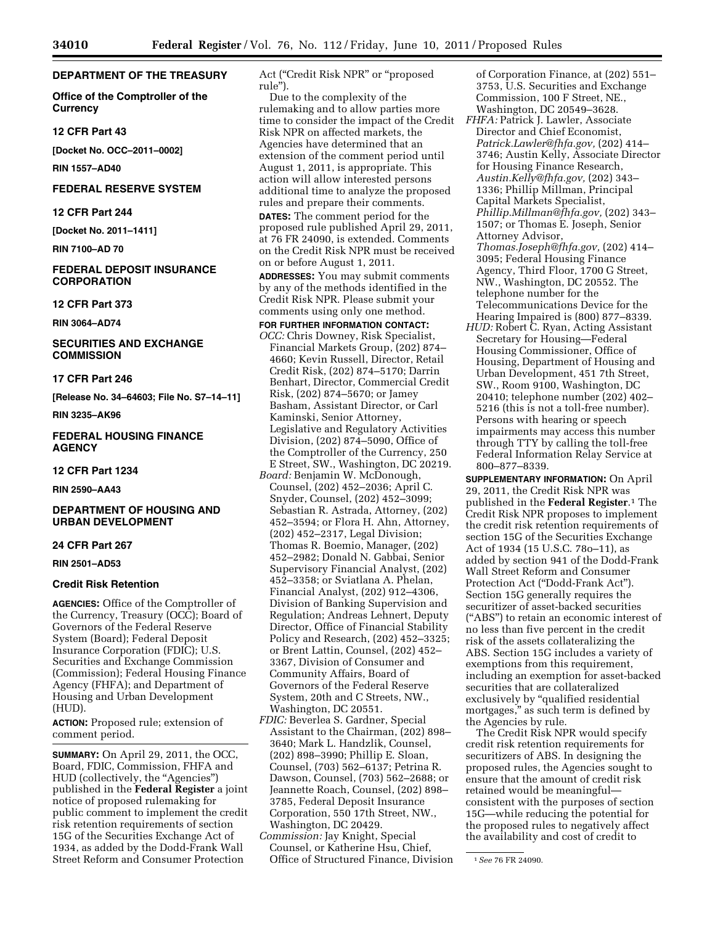### **DEPARTMENT OF THE TREASURY**

**Office of the Comptroller of the Currency** 

#### **12 CFR Part 43**

**[Docket No. OCC–2011–0002]** 

**RIN 1557–AD40** 

## **FEDERAL RESERVE SYSTEM**

## **12 CFR Part 244**

**[Docket No. 2011–1411]** 

**RIN 7100–AD 70** 

## **FEDERAL DEPOSIT INSURANCE CORPORATION**

#### **12 CFR Part 373**

**RIN 3064–AD74** 

### **SECURITIES AND EXCHANGE COMMISSION**

### **17 CFR Part 246**

**[Release No. 34–64603; File No. S7–14–11]** 

### **RIN 3235–AK96**

# **FEDERAL HOUSING FINANCE AGENCY**

**12 CFR Part 1234** 

**RIN 2590–AA43** 

## **DEPARTMENT OF HOUSING AND URBAN DEVELOPMENT**

### **24 CFR Part 267**

**RIN 2501–AD53** 

### **Credit Risk Retention**

**AGENCIES:** Office of the Comptroller of the Currency, Treasury (OCC); Board of Governors of the Federal Reserve System (Board); Federal Deposit Insurance Corporation (FDIC); U.S. Securities and Exchange Commission (Commission); Federal Housing Finance Agency (FHFA); and Department of Housing and Urban Development (HUD).

**ACTION:** Proposed rule; extension of comment period.

**SUMMARY:** On April 29, 2011, the OCC, Board, FDIC, Commission, FHFA and HUD (collectively, the "Agencies") published in the **Federal Register** a joint notice of proposed rulemaking for public comment to implement the credit risk retention requirements of section 15G of the Securities Exchange Act of 1934, as added by the Dodd-Frank Wall Street Reform and Consumer Protection

Act (''Credit Risk NPR'' or ''proposed rule'').

Due to the complexity of the rulemaking and to allow parties more time to consider the impact of the Credit Risk NPR on affected markets, the Agencies have determined that an extension of the comment period until August 1, 2011, is appropriate. This action will allow interested persons additional time to analyze the proposed rules and prepare their comments.

**DATES:** The comment period for the proposed rule published April 29, 2011, at 76 FR 24090, is extended. Comments on the Credit Risk NPR must be received on or before August 1, 2011.

**ADDRESSES:** You may submit comments by any of the methods identified in the Credit Risk NPR. Please submit your comments using only one method.

**FOR FURTHER INFORMATION CONTACT:**  *OCC:* Chris Downey, Risk Specialist, Financial Markets Group, (202) 874– 4660; Kevin Russell, Director, Retail Credit Risk, (202) 874–5170; Darrin Benhart, Director, Commercial Credit Risk, (202) 874–5670; or Jamey Basham, Assistant Director, or Carl Kaminski, Senior Attorney, Legislative and Regulatory Activities Division, (202) 874–5090, Office of the Comptroller of the Currency, 250 E Street, SW., Washington, DC 20219.

- *Board:* Benjamin W. McDonough, Counsel, (202) 452–2036; April C. Snyder, Counsel, (202) 452–3099; Sebastian R. Astrada, Attorney, (202) 452–3594; or Flora H. Ahn, Attorney, (202) 452–2317, Legal Division; Thomas R. Boemio, Manager, (202) 452–2982; Donald N. Gabbai, Senior Supervisory Financial Analyst, (202) 452–3358; or Sviatlana A. Phelan, Financial Analyst, (202) 912–4306, Division of Banking Supervision and Regulation; Andreas Lehnert, Deputy Director, Office of Financial Stability Policy and Research, (202) 452–3325; or Brent Lattin, Counsel, (202) 452– 3367, Division of Consumer and Community Affairs, Board of Governors of the Federal Reserve System, 20th and C Streets, NW., Washington, DC 20551.
- *FDIC:* Beverlea S. Gardner, Special Assistant to the Chairman, (202) 898– 3640; Mark L. Handzlik, Counsel, (202) 898–3990; Phillip E. Sloan, Counsel, (703) 562–6137; Petrina R. Dawson, Counsel, (703) 562–2688; or Jeannette Roach, Counsel, (202) 898– 3785, Federal Deposit Insurance Corporation, 550 17th Street, NW., Washington, DC 20429.
- *Commission:* Jay Knight, Special Counsel, or Katherine Hsu, Chief, Office of Structured Finance, Division

of Corporation Finance, at (202) 551– 3753, U.S. Securities and Exchange Commission, 100 F Street, NE., Washington, DC 20549–3628.

*FHFA:* Patrick J. Lawler, Associate Director and Chief Economist, *Patrick.Lawler@fhfa.gov,* (202) 414– 3746; Austin Kelly, Associate Director for Housing Finance Research, *Austin.Kelly@fhfa.gov,* (202) 343– 1336; Phillip Millman, Principal Capital Markets Specialist, *Phillip.Millman@fhfa.gov,* (202) 343– 1507; or Thomas E. Joseph, Senior Attorney Advisor,

*Thomas.Joseph@fhfa.gov,* (202) 414– 3095; Federal Housing Finance Agency, Third Floor, 1700 G Street, NW., Washington, DC 20552. The telephone number for the Telecommunications Device for the Hearing Impaired is (800) 877–8339.

*HUD:* Robert C. Ryan, Acting Assistant Secretary for Housing—Federal Housing Commissioner, Office of Housing, Department of Housing and Urban Development, 451 7th Street, SW., Room 9100, Washington, DC 20410; telephone number (202) 402– 5216 (this is not a toll-free number). Persons with hearing or speech impairments may access this number through TTY by calling the toll-free Federal Information Relay Service at 800–877–8339.

**SUPPLEMENTARY INFORMATION:** On April 29, 2011, the Credit Risk NPR was published in the **Federal Register**.1 The Credit Risk NPR proposes to implement the credit risk retention requirements of section 15G of the Securities Exchange Act of 1934 (15 U.S.C. 78o–11), as added by section 941 of the Dodd-Frank Wall Street Reform and Consumer Protection Act (''Dodd-Frank Act''). Section 15G generally requires the securitizer of asset-backed securities (''ABS'') to retain an economic interest of no less than five percent in the credit risk of the assets collateralizing the ABS. Section 15G includes a variety of exemptions from this requirement, including an exemption for asset-backed securities that are collateralized exclusively by ''qualified residential mortgages,'' as such term is defined by the Agencies by rule.

The Credit Risk NPR would specify credit risk retention requirements for securitizers of ABS. In designing the proposed rules, the Agencies sought to ensure that the amount of credit risk retained would be meaningful consistent with the purposes of section 15G—while reducing the potential for the proposed rules to negatively affect the availability and cost of credit to

<sup>1</sup> *See* 76 FR 24090.